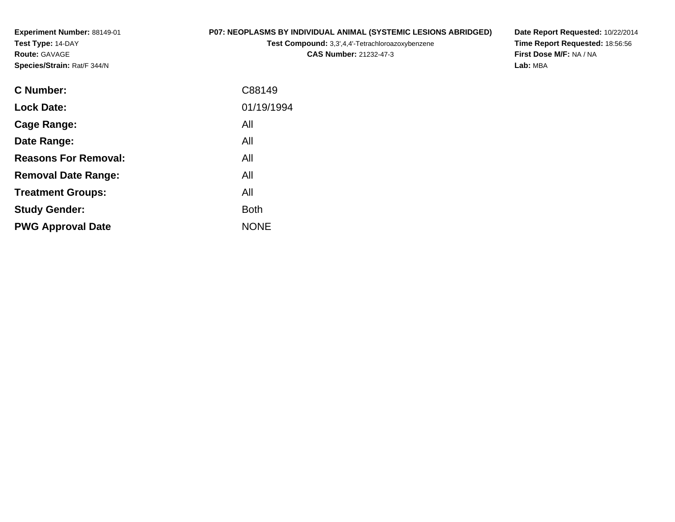**Experiment Number:** 88149-01**Test Type:** 14-DAY**Route:** GAVAGE**Species/Strain:** Rat/F 344/N

# **P07: NEOPLASMS BY INDIVIDUAL ANIMAL (SYSTEMIC LESIONS ABRIDGED)**

**Test Compound:** 3,3',4,4'-Tetrachloroazoxybenzene

**CAS Number:** 21232-47-3

**Date Report Requested:** 10/22/2014 **Time Report Requested:** 18:56:56**First Dose M/F:** NA / NA**Lab:** MBA

| <b>C</b> Number:            | C88149      |
|-----------------------------|-------------|
| <b>Lock Date:</b>           | 01/19/1994  |
| Cage Range:                 | All         |
| Date Range:                 | All         |
| <b>Reasons For Removal:</b> | All         |
| <b>Removal Date Range:</b>  | All         |
| <b>Treatment Groups:</b>    | All         |
| <b>Study Gender:</b>        | <b>Both</b> |
| <b>PWG Approval Date</b>    | <b>NONE</b> |
|                             |             |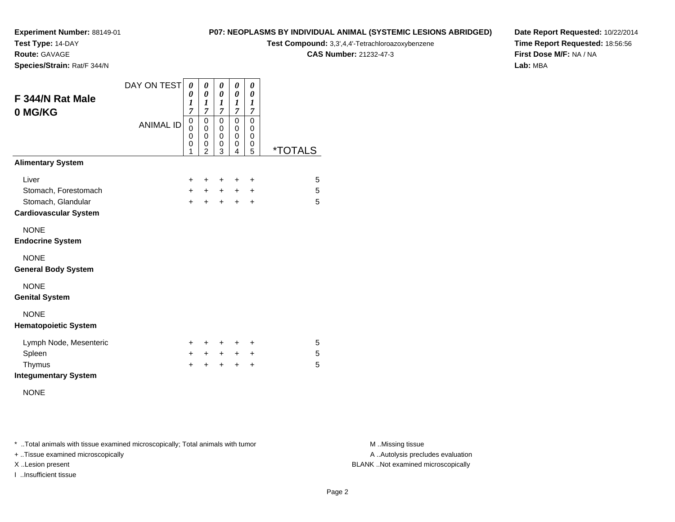**Test Type:** 14-DAY

**Route:** GAVAGE

**Species/Strain:** Rat/F 344/N

#### **P07: NEOPLASMS BY INDIVIDUAL ANIMAL (SYSTEMIC LESIONS ABRIDGED)**

**Test Compound:** 3,3',4,4'-Tetrachloroazoxybenzene

**CAS Number:** 21232-47-3

**Date Report Requested:** 10/22/2014**Time Report Requested:** 18:56:56**First Dose M/F:** NA / NA**Lab:** MBA

| F 344/N Rat Male<br>0 MG/KG                        | DAY ON TEST      | 0<br>0<br>1<br>$\overline{7}$   | 0<br>0<br>1<br>7                             | 0<br>$\pmb{\theta}$<br>1<br>$\overline{7}$ | 0<br>0<br>1<br>7                          | 0<br>0<br>1<br>7             |                       |
|----------------------------------------------------|------------------|---------------------------------|----------------------------------------------|--------------------------------------------|-------------------------------------------|------------------------------|-----------------------|
|                                                    | <b>ANIMAL ID</b> | $\mathbf 0$<br>0<br>0<br>0<br>1 | $\mathbf 0$<br>0<br>0<br>0<br>$\overline{2}$ | 0<br>0<br>0<br>0<br>3                      | $\mathbf 0$<br>$\mathbf 0$<br>0<br>0<br>4 | $\Omega$<br>0<br>0<br>0<br>5 | <i><b>*TOTALS</b></i> |
| <b>Alimentary System</b>                           |                  |                                 |                                              |                                            |                                           |                              |                       |
| Liver                                              |                  | $\ddot{}$                       | ÷                                            | $\pm$                                      | ٠                                         | $\ddot{}$                    | 5                     |
| Stomach, Forestomach                               |                  | $\pm$                           | $\pm$                                        | $\ddot{}$                                  | $\pm$                                     | $\ddot{}$                    | 5                     |
| Stomach, Glandular<br><b>Cardiovascular System</b> |                  | $+$                             | $+$                                          | $+$                                        | $\ddot{}$                                 | $\ddot{}$                    | 5                     |
| <b>NONE</b><br><b>Endocrine System</b>             |                  |                                 |                                              |                                            |                                           |                              |                       |
| <b>NONE</b><br><b>General Body System</b>          |                  |                                 |                                              |                                            |                                           |                              |                       |
| <b>NONE</b><br><b>Genital System</b>               |                  |                                 |                                              |                                            |                                           |                              |                       |
| <b>NONE</b><br><b>Hematopoietic System</b>         |                  |                                 |                                              |                                            |                                           |                              |                       |
| Lymph Node, Mesenteric                             |                  | $\pm$                           | ÷                                            | $\pm$                                      | ÷                                         | $\pm$                        | 5                     |
| Spleen                                             |                  | $\ddot{}$                       | $+$                                          | $\ddot{}$                                  | $+$                                       | $\ddot{}$                    | 5                     |
| Thymus                                             |                  | +                               | ÷                                            | $\ddot{}$                                  | $\ddot{}$                                 | $\ddot{}$                    | 5                     |
| <b>Integumentary System</b>                        |                  |                                 |                                              |                                            |                                           |                              |                       |

NONE

\* ..Total animals with tissue examined microscopically; Total animals with tumor **M** . Missing tissue M ..Missing tissue

+ ..Tissue examined microscopically

I ..Insufficient tissue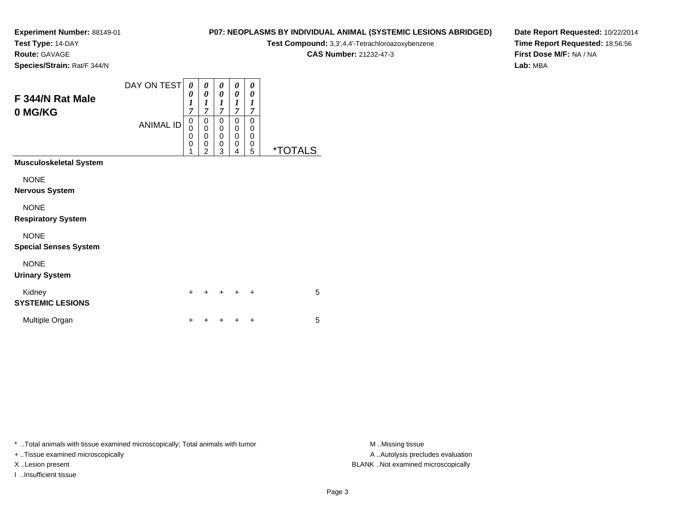**Test Type:** 14-DAY

**Route:** GAVAGE

**P07: NEOPLASMS BY INDIVIDUAL ANIMAL (SYSTEMIC LESIONS ABRIDGED)**

**Test Compound:** 3,3',4,4'-Tetrachloroazoxybenzene

**CAS Number:** 21232-47-3

**Date Report Requested:** 10/22/2014**Time Report Requested:** 18:56:56**First Dose M/F:** NA / NA**Lab:** MBA

**Species/Strain:** Rat/F 344/N

| F 344/N Rat Male<br>0 MG/KG                 | DAY ON TEST<br><b>ANIMAL ID</b> | 0<br>0<br>1<br>$\overline{7}$<br>0<br>0<br>0<br>0<br>1 | 0<br>$\boldsymbol{\theta}$<br>$\boldsymbol{l}$<br>$\overline{7}$<br>0<br>$\mathbf 0$<br>0<br>0<br>$\overline{2}$ | 0<br>0<br>$\boldsymbol{l}$<br>$\overline{7}$<br>0<br>0<br>$\mathbf 0$<br>$\mathbf 0$<br>3 | 0<br>0<br>1<br>$\overline{7}$<br>0<br>0<br>$\mathbf 0$<br>0<br>4 | 0<br>0<br>1<br>7<br>0<br>0<br>0<br>0<br>5 | <i><b>*TOTALS</b></i> |
|---------------------------------------------|---------------------------------|--------------------------------------------------------|------------------------------------------------------------------------------------------------------------------|-------------------------------------------------------------------------------------------|------------------------------------------------------------------|-------------------------------------------|-----------------------|
| <b>Musculoskeletal System</b>               |                                 |                                                        |                                                                                                                  |                                                                                           |                                                                  |                                           |                       |
| <b>NONE</b><br><b>Nervous System</b>        |                                 |                                                        |                                                                                                                  |                                                                                           |                                                                  |                                           |                       |
| <b>NONE</b><br><b>Respiratory System</b>    |                                 |                                                        |                                                                                                                  |                                                                                           |                                                                  |                                           |                       |
| <b>NONE</b><br><b>Special Senses System</b> |                                 |                                                        |                                                                                                                  |                                                                                           |                                                                  |                                           |                       |
| <b>NONE</b><br><b>Urinary System</b>        |                                 |                                                        |                                                                                                                  |                                                                                           |                                                                  |                                           |                       |
| Kidney<br><b>SYSTEMIC LESIONS</b>           |                                 | ÷                                                      | ٠                                                                                                                | ٠                                                                                         |                                                                  | ÷                                         | 5                     |
| Multiple Organ                              |                                 | +                                                      |                                                                                                                  |                                                                                           |                                                                  | +                                         | 5                     |
|                                             |                                 |                                                        |                                                                                                                  |                                                                                           |                                                                  |                                           |                       |

\* ..Total animals with tissue examined microscopically; Total animals with tumor **M** . Missing tissue M ..Missing tissue

+ ..Tissue examined microscopically

I ..Insufficient tissue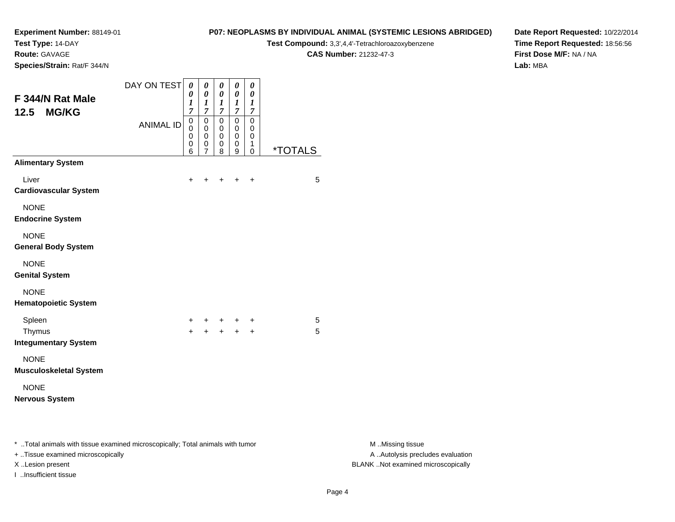**Test Type:** 14-DAY

**Route:** GAVAGE

**Species/Strain:** Rat/F 344/N

# **P07: NEOPLASMS BY INDIVIDUAL ANIMAL (SYSTEMIC LESIONS ABRIDGED)**

**Test Compound:** 3,3',4,4'-Tetrachloroazoxybenzene

**CAS Number:** 21232-47-3

**Date Report Requested:** 10/22/2014**Time Report Requested:** 18:56:56**First Dose M/F:** NA / NA**Lab:** MBA

| F 344/N Rat Male<br>12.5<br><b>MG/KG</b>                                       | DAY ON TEST      | 0<br>0<br>1<br>$\overline{7}$ | 0<br>$\boldsymbol{\theta}$<br>$\boldsymbol{l}$<br>$\overline{7}$ | 0<br>$\boldsymbol{\theta}$<br>$\boldsymbol{l}$<br>$\overline{7}$ | 0<br>$\boldsymbol{\theta}$<br>$\boldsymbol{l}$<br>$\overline{7}$ | 0<br>$\boldsymbol{\theta}$<br>$\boldsymbol{l}$<br>$\overline{7}$ |                       |
|--------------------------------------------------------------------------------|------------------|-------------------------------|------------------------------------------------------------------|------------------------------------------------------------------|------------------------------------------------------------------|------------------------------------------------------------------|-----------------------|
|                                                                                | <b>ANIMAL ID</b> | 0<br>$\Omega$<br>0<br>0<br>6  | 0<br>0<br>0<br>0<br>$\overline{7}$                               | $\mathbf 0$<br>0<br>0<br>0<br>8                                  | $\mathbf 0$<br>0<br>0<br>0<br>9                                  | $\mathbf 0$<br>0<br>0<br>1<br>$\Omega$                           | <i><b>*TOTALS</b></i> |
| <b>Alimentary System</b>                                                       |                  |                               |                                                                  |                                                                  |                                                                  |                                                                  |                       |
| Liver<br><b>Cardiovascular System</b>                                          |                  | $\ddot{}$                     | +                                                                | +                                                                | $\ddot{}$                                                        | $\ddot{}$                                                        | 5                     |
| <b>NONE</b><br><b>Endocrine System</b>                                         |                  |                               |                                                                  |                                                                  |                                                                  |                                                                  |                       |
| <b>NONE</b><br><b>General Body System</b>                                      |                  |                               |                                                                  |                                                                  |                                                                  |                                                                  |                       |
| <b>NONE</b><br><b>Genital System</b>                                           |                  |                               |                                                                  |                                                                  |                                                                  |                                                                  |                       |
| <b>NONE</b><br><b>Hematopoietic System</b>                                     |                  |                               |                                                                  |                                                                  |                                                                  |                                                                  |                       |
| Spleen<br>Thymus                                                               |                  | $\pm$<br>$+$                  | $\ddot{}$<br>$\ddot{}$                                           | $+$ $-$<br>$+$                                                   | $+$<br>$+$                                                       | $\ddot{}$<br>$\ddot{}$                                           | 5<br>5                |
| <b>Integumentary System</b><br><b>NONE</b><br><b>Musculoskeletal System</b>    |                  |                               |                                                                  |                                                                  |                                                                  |                                                                  |                       |
| <b>NONE</b><br><b>Nervous System</b>                                           |                  |                               |                                                                  |                                                                  |                                                                  |                                                                  |                       |
| * Total animals with tissue examined microscopically; Total animals with tumor |                  |                               |                                                                  |                                                                  |                                                                  |                                                                  |                       |

+ ..Tissue examined microscopically

I ..Insufficient tissue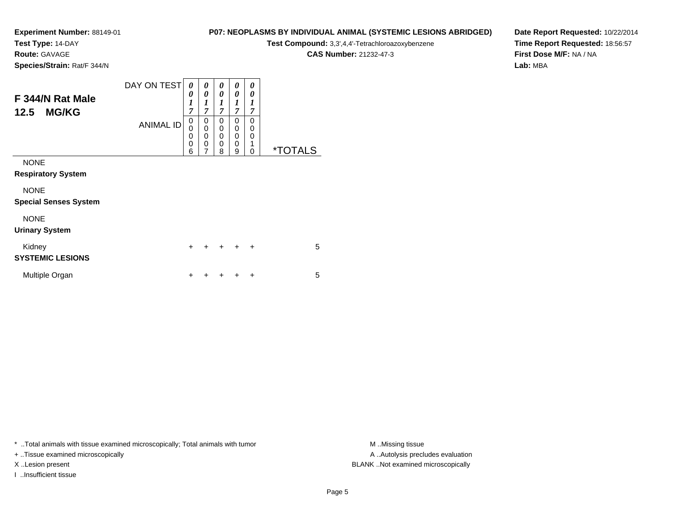**Test Type:** 14-DAY

**Route:** GAVAGE

**P07: NEOPLASMS BY INDIVIDUAL ANIMAL (SYSTEMIC LESIONS ABRIDGED)**

**Test Compound:** 3,3',4,4'-Tetrachloroazoxybenzene

**CAS Number:** 21232-47-3

**Date Report Requested:** 10/22/2014**Time Report Requested:** 18:56:57**First Dose M/F:** NA / NA**Lab:** MBA

**Species/Strain:** Rat/F 344/N

| F 344/N Rat Male<br><b>MG/KG</b><br>12.5    | DAY ON TEST      | 0<br>0<br>1<br>7                | 0<br>$\theta$<br>1<br>$\overline{7}$                | 0<br>0<br>1<br>$\overline{7}$ | 0<br>0<br>$\boldsymbol{l}$<br>7            | 0<br>0<br>1<br>7             |                       |
|---------------------------------------------|------------------|---------------------------------|-----------------------------------------------------|-------------------------------|--------------------------------------------|------------------------------|-----------------------|
|                                             | <b>ANIMAL ID</b> | 0<br>0<br>0<br>$\mathbf 0$<br>6 | 0<br>$\mathbf 0$<br>$\mathbf 0$<br>$\mathbf 0$<br>7 | 0<br>0<br>0<br>0<br>8         | 0<br>0<br>$\mathbf{0}$<br>$\mathbf 0$<br>9 | 0<br>0<br>$\Omega$<br>1<br>0 | <i><b>*TOTALS</b></i> |
| <b>NONE</b>                                 |                  |                                 |                                                     |                               |                                            |                              |                       |
| <b>Respiratory System</b>                   |                  |                                 |                                                     |                               |                                            |                              |                       |
| <b>NONE</b><br><b>Special Senses System</b> |                  |                                 |                                                     |                               |                                            |                              |                       |
| <b>NONE</b><br><b>Urinary System</b>        |                  |                                 |                                                     |                               |                                            |                              |                       |
| Kidney<br><b>SYSTEMIC LESIONS</b>           |                  | $\ddot{}$                       |                                                     | $\ddot{}$                     | ÷                                          | $\ddot{}$                    | 5                     |
| Multiple Organ                              |                  | ٠                               |                                                     |                               | ٠                                          | ÷                            | 5                     |

\* ..Total animals with tissue examined microscopically; Total animals with tumor **M** . Missing tissue M ..Missing tissue

+ ..Tissue examined microscopically

I ..Insufficient tissue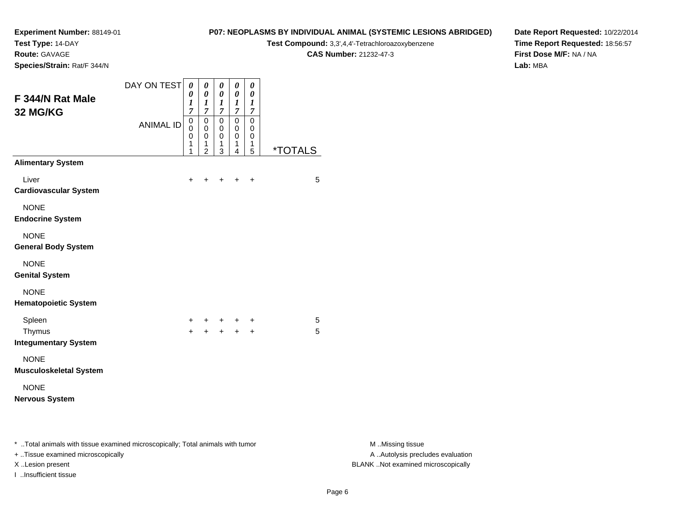**Test Type:** 14-DAY

**Route:** GAVAGE

**Species/Strain:** Rat/F 344/N

# **P07: NEOPLASMS BY INDIVIDUAL ANIMAL (SYSTEMIC LESIONS ABRIDGED)**

**Test Compound:** 3,3',4,4'-Tetrachloroazoxybenzene

**CAS Number:** 21232-47-3

**Date Report Requested:** 10/22/2014**Time Report Requested:** 18:56:57**First Dose M/F:** NA / NA**Lab:** MBA

| F 344/N Rat Male                                                               | DAY ON TEST      | $\boldsymbol{\theta}$<br>0<br>1                 | 0<br>$\pmb{\theta}$<br>$\boldsymbol{l}$                                            | $\pmb{\theta}$<br>$\pmb{\theta}$<br>$\boldsymbol{l}$      | $\pmb{\theta}$<br>$\boldsymbol{\theta}$<br>$\boldsymbol{l}$                       | $\boldsymbol{\theta}$<br>$\boldsymbol{\theta}$<br>$\boldsymbol{l}$ |                       |                  |
|--------------------------------------------------------------------------------|------------------|-------------------------------------------------|------------------------------------------------------------------------------------|-----------------------------------------------------------|-----------------------------------------------------------------------------------|--------------------------------------------------------------------|-----------------------|------------------|
| 32 MG/KG                                                                       | <b>ANIMAL ID</b> | $\overline{7}$<br>$\pmb{0}$<br>0<br>0<br>1<br>1 | $\overline{7}$<br>$\mathbf 0$<br>$\mathbf 0$<br>$\mathbf 0$<br>1<br>$\overline{2}$ | $\overline{7}$<br>$\mathsf 0$<br>0<br>$\pmb{0}$<br>1<br>3 | $\overline{7}$<br>$\mathsf 0$<br>0<br>$\mathbf 0$<br>1<br>$\overline{\mathbf{4}}$ | $\boldsymbol{7}$<br>$\overline{0}$<br>0<br>$\mathbf 0$<br>1<br>5   | <i><b>*TOTALS</b></i> |                  |
| <b>Alimentary System</b>                                                       |                  |                                                 |                                                                                    |                                                           |                                                                                   |                                                                    |                       |                  |
| Liver<br><b>Cardiovascular System</b>                                          |                  | $\ddot{}$                                       | $\ddot{}$                                                                          | $+$ $+$                                                   |                                                                                   | $\ddot{}$                                                          | $\overline{5}$        |                  |
| <b>NONE</b><br><b>Endocrine System</b>                                         |                  |                                                 |                                                                                    |                                                           |                                                                                   |                                                                    |                       |                  |
| <b>NONE</b><br><b>General Body System</b>                                      |                  |                                                 |                                                                                    |                                                           |                                                                                   |                                                                    |                       |                  |
| <b>NONE</b><br><b>Genital System</b>                                           |                  |                                                 |                                                                                    |                                                           |                                                                                   |                                                                    |                       |                  |
| <b>NONE</b><br><b>Hematopoietic System</b>                                     |                  |                                                 |                                                                                    |                                                           |                                                                                   |                                                                    |                       |                  |
| Spleen                                                                         |                  | +                                               | $+$                                                                                | $+$                                                       | $+$                                                                               | $\ddot{}$                                                          | $\sqrt{5}$            |                  |
| Thymus<br><b>Integumentary System</b>                                          |                  | $+$                                             |                                                                                    | $+$                                                       | $+$                                                                               | $+$                                                                | 5                     |                  |
| <b>NONE</b><br><b>Musculoskeletal System</b>                                   |                  |                                                 |                                                                                    |                                                           |                                                                                   |                                                                    |                       |                  |
| <b>NONE</b>                                                                    |                  |                                                 |                                                                                    |                                                           |                                                                                   |                                                                    |                       |                  |
| <b>Nervous System</b>                                                          |                  |                                                 |                                                                                    |                                                           |                                                                                   |                                                                    |                       |                  |
| * Total animals with tissue examined microscopically; Total animals with tumor |                  |                                                 |                                                                                    |                                                           |                                                                                   |                                                                    |                       | M Missing tissue |

+ ..Tissue examined microscopically

I ..Insufficient tissue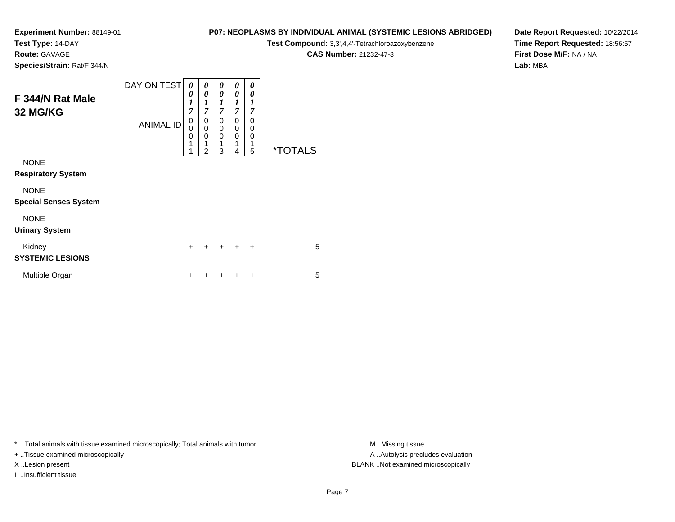**Test Type:** 14-DAY

**Route:** GAVAGE

**Species/Strain:** Rat/F 344/N

# **P07: NEOPLASMS BY INDIVIDUAL ANIMAL (SYSTEMIC LESIONS ABRIDGED)**

**Test Compound:** 3,3',4,4'-Tetrachloroazoxybenzene

**CAS Number:** 21232-47-3

**Date Report Requested:** 10/22/2014**Time Report Requested:** 18:56:57**First Dose M/F:** NA / NA**Lab:** MBA

| F 344/N Rat Male<br>32 MG/KG                | DAY ON TESTI<br><b>ANIMAL ID</b> | 0<br>0<br>$\boldsymbol{l}$<br>$\overline{7}$<br>0<br>$\mathbf 0$<br>0<br>1<br>1 | 0<br>0<br>$\boldsymbol{l}$<br>$\overline{7}$<br>0<br>$\mathbf 0$<br>0<br>1<br>$\overline{2}$ | 0<br>0<br>1<br>7<br>0<br>0<br>0<br>1<br>3 | 0<br>0<br>1<br>$\overline{7}$<br>0<br>$\mathbf 0$<br>$\mathbf 0$<br>1<br>4 | 0<br>0<br>$\boldsymbol{l}$<br>7<br>$\Omega$<br>0<br>$\Omega$<br>1<br>5 | <i><b>*TOTALS</b></i> |
|---------------------------------------------|----------------------------------|---------------------------------------------------------------------------------|----------------------------------------------------------------------------------------------|-------------------------------------------|----------------------------------------------------------------------------|------------------------------------------------------------------------|-----------------------|
| <b>NONE</b><br><b>Respiratory System</b>    |                                  |                                                                                 |                                                                                              |                                           |                                                                            |                                                                        |                       |
| <b>NONE</b><br><b>Special Senses System</b> |                                  |                                                                                 |                                                                                              |                                           |                                                                            |                                                                        |                       |
| <b>NONE</b><br><b>Urinary System</b>        |                                  |                                                                                 |                                                                                              |                                           |                                                                            |                                                                        |                       |
| Kidney<br><b>SYSTEMIC LESIONS</b>           |                                  | $\ddot{}$                                                                       | +                                                                                            | ÷                                         | $\ddot{}$                                                                  | $\ddot{}$                                                              | 5                     |
| Multiple Organ                              |                                  | +                                                                               |                                                                                              |                                           |                                                                            | ÷                                                                      | 5                     |

\* ..Total animals with tissue examined microscopically; Total animals with tumor **M** . Missing tissue M ..Missing tissue

+ ..Tissue examined microscopically

I ..Insufficient tissue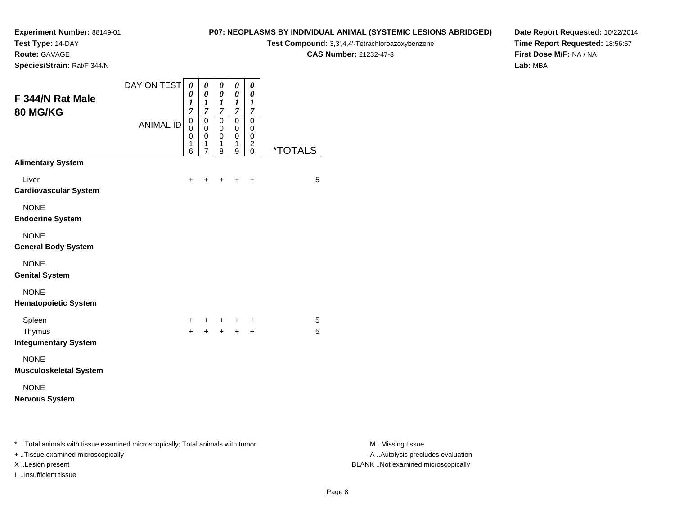**Test Type:** 14-DAY

**Route:** GAVAGE

**Species/Strain:** Rat/F 344/N

# **P07: NEOPLASMS BY INDIVIDUAL ANIMAL (SYSTEMIC LESIONS ABRIDGED)**

**Test Compound:** 3,3',4,4'-Tetrachloroazoxybenzene

**CAS Number:** 21232-47-3

**Date Report Requested:** 10/22/2014**Time Report Requested:** 18:56:57**First Dose M/F:** NA / NA**Lab:** MBA

| F 344/N Rat Male<br>80 MG/KG                                                   | DAY ON TEST      | $\boldsymbol{\theta}$<br>0<br>$\boldsymbol{l}$<br>$\overline{7}$ | $\boldsymbol{\theta}$<br>$\boldsymbol{\theta}$<br>$\boldsymbol{l}$<br>$\overline{7}$ | $\pmb{\theta}$<br>$\pmb{\theta}$<br>$\boldsymbol{l}$<br>$\overline{7}$ | $\pmb{\theta}$<br>$\pmb{\theta}$<br>$\boldsymbol{l}$<br>$\overline{7}$ | $\pmb{\theta}$<br>$\pmb{\theta}$<br>$\boldsymbol{l}$<br>$\boldsymbol{7}$ |                       |                  |
|--------------------------------------------------------------------------------|------------------|------------------------------------------------------------------|--------------------------------------------------------------------------------------|------------------------------------------------------------------------|------------------------------------------------------------------------|--------------------------------------------------------------------------|-----------------------|------------------|
|                                                                                | <b>ANIMAL ID</b> | $\pmb{0}$<br>0<br>$\pmb{0}$<br>1<br>$\,6$                        | $\pmb{0}$<br>$\mathbf 0$<br>$\pmb{0}$<br>1<br>7                                      | $\mathsf 0$<br>0<br>$\mathbf 0$<br>1<br>8                              | $\mathsf 0$<br>0<br>$\mathsf 0$<br>1<br>9                              | $\pmb{0}$<br>0<br>$\mathbf 0$<br>$\overline{c}$<br>$\mathsf 0$           | <i><b>*TOTALS</b></i> |                  |
| <b>Alimentary System</b>                                                       |                  |                                                                  |                                                                                      |                                                                        |                                                                        |                                                                          |                       |                  |
| Liver<br><b>Cardiovascular System</b>                                          |                  | $\ddot{}$                                                        | $\ddot{}$                                                                            | $\ddot{}$                                                              | $+$                                                                    | $\ddot{}$                                                                | $\overline{5}$        |                  |
| <b>NONE</b><br><b>Endocrine System</b>                                         |                  |                                                                  |                                                                                      |                                                                        |                                                                        |                                                                          |                       |                  |
| <b>NONE</b><br><b>General Body System</b>                                      |                  |                                                                  |                                                                                      |                                                                        |                                                                        |                                                                          |                       |                  |
| <b>NONE</b><br><b>Genital System</b>                                           |                  |                                                                  |                                                                                      |                                                                        |                                                                        |                                                                          |                       |                  |
| <b>NONE</b><br><b>Hematopoietic System</b>                                     |                  |                                                                  |                                                                                      |                                                                        |                                                                        |                                                                          |                       |                  |
| Spleen<br>Thymus<br><b>Integumentary System</b>                                |                  | $\ddot{}$<br>$\ddot{}$                                           | $+$                                                                                  | $+$                                                                    | $+$ $+$<br>$\ddot{+}$                                                  | $\ddot{}$<br>$+$                                                         | $\sqrt{5}$<br>5       |                  |
| <b>NONE</b><br><b>Musculoskeletal System</b>                                   |                  |                                                                  |                                                                                      |                                                                        |                                                                        |                                                                          |                       |                  |
| <b>NONE</b><br><b>Nervous System</b>                                           |                  |                                                                  |                                                                                      |                                                                        |                                                                        |                                                                          |                       |                  |
| * Total animals with tissue examined microscopically; Total animals with tumor |                  |                                                                  |                                                                                      |                                                                        |                                                                        |                                                                          |                       | M Missing tissue |

+ ..Tissue examined microscopically

I ..Insufficient tissue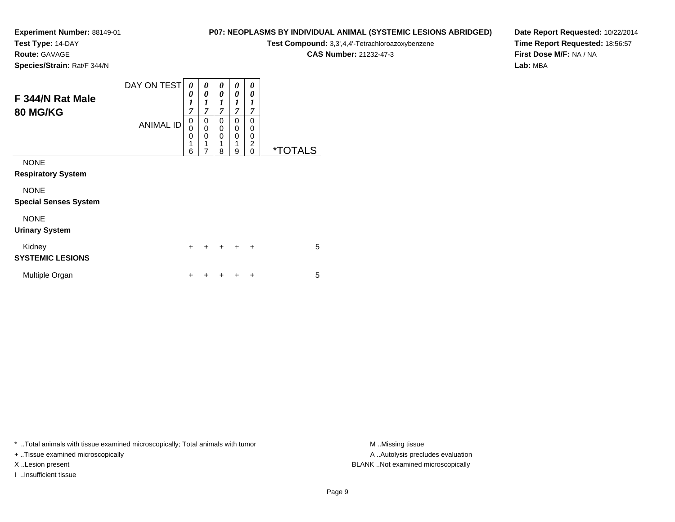**Test Type:** 14-DAY

**Route:** GAVAGE

**Species/Strain:** Rat/F 344/N

# **P07: NEOPLASMS BY INDIVIDUAL ANIMAL (SYSTEMIC LESIONS ABRIDGED)**

**Test Compound:** 3,3',4,4'-Tetrachloroazoxybenzene

**CAS Number:** 21232-47-3

**Date Report Requested:** 10/22/2014**Time Report Requested:** 18:56:57**First Dose M/F:** NA / NA**Lab:** MBA

| F 344/N Rat Male<br><b>80 MG/KG</b>         | DAY ON TEST<br><b>ANIMAL ID</b> | 0<br>0<br>$\boldsymbol{l}$<br>7<br>$\mathbf 0$<br>$\mathbf 0$<br>0<br>1<br>6 | 0<br>$\theta$<br>1<br>$\overline{7}$<br>0<br>$\mathbf 0$<br>0<br>1<br>7 | 0<br>0<br>$\boldsymbol{l}$<br>$\overline{7}$<br>0<br>0<br>0<br>1<br>8 | 0<br>0<br>1<br>$\overline{7}$<br>0<br>0<br>$\mathbf 0$<br>1<br>9 | 0<br>0<br>1<br>7<br>0<br>$\mathbf 0$<br>0<br>$\overline{c}$<br>$\Omega$ | <i><b>*TOTALS</b></i> |
|---------------------------------------------|---------------------------------|------------------------------------------------------------------------------|-------------------------------------------------------------------------|-----------------------------------------------------------------------|------------------------------------------------------------------|-------------------------------------------------------------------------|-----------------------|
| <b>NONE</b><br><b>Respiratory System</b>    |                                 |                                                                              |                                                                         |                                                                       |                                                                  |                                                                         |                       |
| <b>NONE</b><br><b>Special Senses System</b> |                                 |                                                                              |                                                                         |                                                                       |                                                                  |                                                                         |                       |
| <b>NONE</b><br><b>Urinary System</b>        |                                 |                                                                              |                                                                         |                                                                       |                                                                  |                                                                         |                       |
| Kidney<br><b>SYSTEMIC LESIONS</b>           |                                 | $\ddot{}$                                                                    |                                                                         | $\div$                                                                | $\div$                                                           | $\ddot{}$                                                               | 5                     |
| Multiple Organ                              |                                 | ٠                                                                            |                                                                         |                                                                       | ٠                                                                | ٠                                                                       | 5                     |

\* ..Total animals with tissue examined microscopically; Total animals with tumor **M** . Missing tissue M ..Missing tissue

+ ..Tissue examined microscopically

I ..Insufficient tissue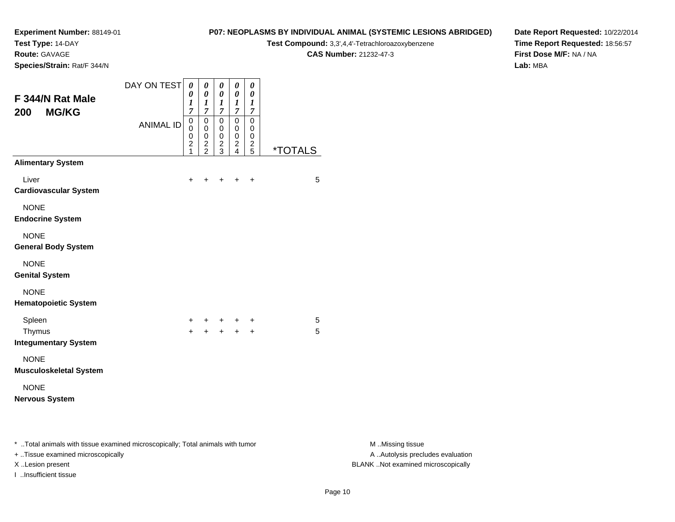**Test Type:** 14-DAY

**Route:** GAVAGE

**Species/Strain:** Rat/F 344/N

# **P07: NEOPLASMS BY INDIVIDUAL ANIMAL (SYSTEMIC LESIONS ABRIDGED)**

**Test Compound:** 3,3',4,4'-Tetrachloroazoxybenzene

**CAS Number:** 21232-47-3

**Date Report Requested:** 10/22/2014**Time Report Requested:** 18:56:57**First Dose M/F:** NA / NA**Lab:** MBA

| F 344/N Rat Male<br><b>MG/KG</b><br>200                                                                             | DAY ON TEST      | 0<br>0<br>1<br>7                   | 0<br>$\pmb{\theta}$<br>$\boldsymbol{l}$<br>7    | 0<br>0<br>$\boldsymbol{l}$<br>7                | 0<br>0<br>1<br>7                   | 0<br>$\boldsymbol{\theta}$<br>1<br>$\overline{7}$      |                       |
|---------------------------------------------------------------------------------------------------------------------|------------------|------------------------------------|-------------------------------------------------|------------------------------------------------|------------------------------------|--------------------------------------------------------|-----------------------|
|                                                                                                                     | <b>ANIMAL ID</b> | 0<br>0<br>0<br>$\overline{c}$<br>1 | 0<br>0<br>0<br>$\overline{c}$<br>$\overline{2}$ | $\mathbf 0$<br>0<br>0<br>$\boldsymbol{2}$<br>3 | 0<br>0<br>0<br>$\overline{c}$<br>4 | 0<br>$\mathbf 0$<br>$\mathbf 0$<br>$\overline{c}$<br>5 | <i><b>*TOTALS</b></i> |
| <b>Alimentary System</b>                                                                                            |                  |                                    |                                                 |                                                |                                    |                                                        |                       |
| Liver<br><b>Cardiovascular System</b>                                                                               |                  | +                                  |                                                 |                                                |                                    | +                                                      | 5                     |
| <b>NONE</b><br><b>Endocrine System</b>                                                                              |                  |                                    |                                                 |                                                |                                    |                                                        |                       |
| <b>NONE</b><br><b>General Body System</b>                                                                           |                  |                                    |                                                 |                                                |                                    |                                                        |                       |
| <b>NONE</b><br><b>Genital System</b>                                                                                |                  |                                    |                                                 |                                                |                                    |                                                        |                       |
| <b>NONE</b><br><b>Hematopoietic System</b>                                                                          |                  |                                    |                                                 |                                                |                                    |                                                        |                       |
| Spleen                                                                                                              |                  | +                                  | +                                               | +                                              |                                    | $\ddot{}$                                              | 5                     |
| Thymus<br><b>Integumentary System</b>                                                                               |                  | $+$                                | $+$                                             | $+$                                            | $+$                                | $\ddot{}$                                              | 5                     |
| <b>NONE</b><br><b>Musculoskeletal System</b>                                                                        |                  |                                    |                                                 |                                                |                                    |                                                        |                       |
| <b>NONE</b><br><b>Nervous System</b>                                                                                |                  |                                    |                                                 |                                                |                                    |                                                        |                       |
| * Total animals with tissue examined microscopically; Total animals with tumor<br>+ Tissue examined microscopically |                  |                                    |                                                 |                                                |                                    |                                                        |                       |

I ..Insufficient tissue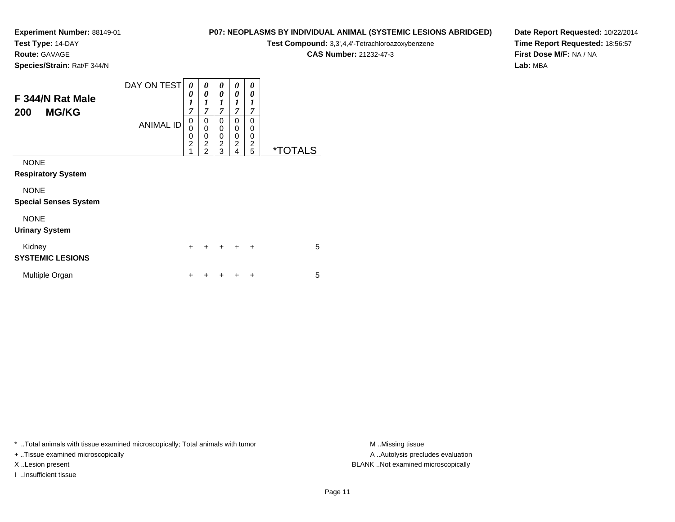**Test Type:** 14-DAY

**Route:** GAVAGE

**Species/Strain:** Rat/F 344/N

# **P07: NEOPLASMS BY INDIVIDUAL ANIMAL (SYSTEMIC LESIONS ABRIDGED)**

**Test Compound:** 3,3',4,4'-Tetrachloroazoxybenzene

**CAS Number:** 21232-47-3

**Date Report Requested:** 10/22/2014**Time Report Requested:** 18:56:57**First Dose M/F:** NA / NA**Lab:** MBA

| F 344/N Rat Male<br><b>MG/KG</b><br>200     | DAY ON TEST<br><b>ANIMAL ID</b> | 0<br>0<br>$\boldsymbol{l}$<br>$\overline{7}$<br>0<br>0<br>$\frac{0}{2}$<br>1 | 0<br>0<br>$\boldsymbol{l}$<br>$\overline{7}$<br>0<br>$\mathbf 0$<br>$\mathbf 0$<br>$\overline{c}$<br>$\overline{2}$ | 0<br>0<br>$\boldsymbol{l}$<br>$\overline{7}$<br>0<br>0<br>0<br>$\overline{c}$<br>3 | 0<br>0<br>1<br>$\overline{7}$<br>0<br>0<br>$\mathbf 0$<br>$\overline{2}$<br>4 | 0<br>0<br>1<br>$\overline{7}$<br>$\Omega$<br>0<br>0<br>$\overline{c}$<br>5 | <i><b>*TOTALS</b></i> |
|---------------------------------------------|---------------------------------|------------------------------------------------------------------------------|---------------------------------------------------------------------------------------------------------------------|------------------------------------------------------------------------------------|-------------------------------------------------------------------------------|----------------------------------------------------------------------------|-----------------------|
| <b>NONE</b><br><b>Respiratory System</b>    |                                 |                                                                              |                                                                                                                     |                                                                                    |                                                                               |                                                                            |                       |
| <b>NONE</b><br><b>Special Senses System</b> |                                 |                                                                              |                                                                                                                     |                                                                                    |                                                                               |                                                                            |                       |
| <b>NONE</b><br><b>Urinary System</b>        |                                 |                                                                              |                                                                                                                     |                                                                                    |                                                                               |                                                                            |                       |
| Kidney<br><b>SYSTEMIC LESIONS</b>           |                                 | $\ddot{}$                                                                    | $\ddot{}$                                                                                                           | $\pm$                                                                              | $\ddot{}$                                                                     | $\ddot{}$                                                                  | 5                     |
| Multiple Organ                              |                                 | ┿                                                                            |                                                                                                                     |                                                                                    |                                                                               | ٠                                                                          | 5                     |

\* ..Total animals with tissue examined microscopically; Total animals with tumor **M** . Missing tissue M ..Missing tissue

+ ..Tissue examined microscopically

I ..Insufficient tissue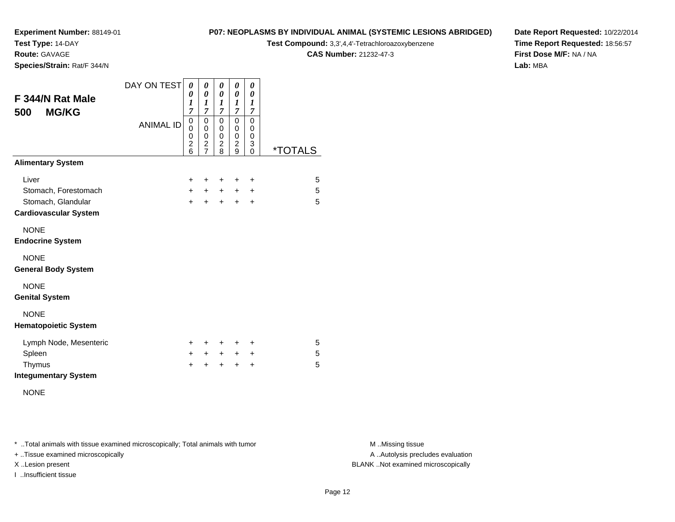**Test Type:** 14-DAY

**Route:** GAVAGE

**Species/Strain:** Rat/F 344/N

#### **P07: NEOPLASMS BY INDIVIDUAL ANIMAL (SYSTEMIC LESIONS ABRIDGED)**

**Test Compound:** 3,3',4,4'-Tetrachloroazoxybenzene

**CAS Number:** 21232-47-3

**Date Report Requested:** 10/22/2014**Time Report Requested:** 18:56:57**First Dose M/F:** NA / NA**Lab:** MBA

| F 344/N Rat Male<br><b>MG/KG</b><br>500            | DAY ON TEST      | 0<br>0<br>1<br>$\overline{7}$                         | 0<br>0<br>1<br>$\overline{7}$                                      | 0<br>0<br>1<br>$\overline{7}$                         | 0<br>$\boldsymbol{\theta}$<br>1<br>7         | 0<br>0<br>1<br>$\overline{7}$                        |                       |
|----------------------------------------------------|------------------|-------------------------------------------------------|--------------------------------------------------------------------|-------------------------------------------------------|----------------------------------------------|------------------------------------------------------|-----------------------|
|                                                    | <b>ANIMAL ID</b> | 0<br>$\mathbf 0$<br>0<br>$\overline{\mathbf{c}}$<br>6 | $\mathbf 0$<br>0<br>0<br>$\overline{\mathbf{c}}$<br>$\overline{7}$ | 0<br>0<br>$\mathsf 0$<br>$\overline{\mathbf{c}}$<br>8 | 0<br>0<br>$\mathbf 0$<br>$\overline{c}$<br>9 | $\mathbf 0$<br>0<br>$\mathbf 0$<br>3<br>$\mathbf{0}$ | <i><b>*TOTALS</b></i> |
| <b>Alimentary System</b>                           |                  |                                                       |                                                                    |                                                       |                                              |                                                      |                       |
| Liver                                              |                  | $\ddot{}$                                             | ÷                                                                  | ÷                                                     | ٠                                            | $\ddot{}$                                            | 5                     |
| Stomach, Forestomach                               |                  | $+$                                                   | $\pm$                                                              | $\ddot{}$                                             | $\pm$                                        | ÷                                                    | 5                     |
| Stomach, Glandular<br><b>Cardiovascular System</b> |                  | $\ddot{}$                                             | $\ddot{}$                                                          | $\ddot{}$                                             | $\ddot{}$                                    | $\ddot{}$                                            | 5                     |
| <b>NONE</b><br><b>Endocrine System</b>             |                  |                                                       |                                                                    |                                                       |                                              |                                                      |                       |
| <b>NONE</b><br><b>General Body System</b>          |                  |                                                       |                                                                    |                                                       |                                              |                                                      |                       |
| <b>NONE</b><br><b>Genital System</b>               |                  |                                                       |                                                                    |                                                       |                                              |                                                      |                       |
| <b>NONE</b><br><b>Hematopoietic System</b>         |                  |                                                       |                                                                    |                                                       |                                              |                                                      |                       |
| Lymph Node, Mesenteric                             |                  | ÷.                                                    | ÷                                                                  | ÷                                                     | ÷                                            | ÷                                                    | 5                     |
| Spleen                                             |                  | $\pm$                                                 | $\pm$                                                              | $\ddot{}$                                             | $+$                                          | $\ddot{}$                                            | 5                     |
| Thymus<br><b>Integumentary System</b>              |                  | $\div$                                                | $\ddot{}$                                                          | $\ddot{}$                                             | $\ddot{}$                                    | +                                                    | 5                     |
|                                                    |                  |                                                       |                                                                    |                                                       |                                              |                                                      |                       |

NONE

\* ..Total animals with tissue examined microscopically; Total animals with tumor **M** . Missing tissue M ..Missing tissue

+ ..Tissue examined microscopically

I ..Insufficient tissue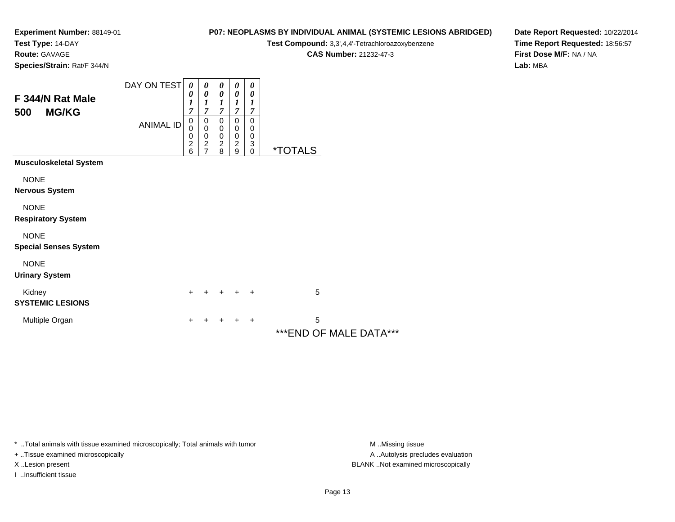**Test Type:** 14-DAY

**Route:** GAVAGE

**P07: NEOPLASMS BY INDIVIDUAL ANIMAL (SYSTEMIC LESIONS ABRIDGED)**

**Test Compound:** 3,3',4,4'-Tetrachloroazoxybenzene

**CAS Number:** 21232-47-3

**Date Report Requested:** 10/22/2014**Time Report Requested:** 18:56:57**First Dose M/F:** NA / NA**Lab:** MBA

**Species/Strain:** Rat/F 344/N

| F 344/N Rat Male<br>500<br><b>MG/KG</b>     | DAY ON TEST<br><b>ANIMAL ID</b> | 0<br>$\boldsymbol{\theta}$<br>$\boldsymbol{l}$<br>7<br>$\boldsymbol{0}$<br>0<br>0<br>$\frac{2}{6}$ | 0<br>$\boldsymbol{\theta}$<br>$\boldsymbol{l}$<br>7<br>0<br>$\pmb{0}$<br>$\mathbf 0$<br>$\frac{2}{7}$ | $\boldsymbol{\theta}$<br>$\boldsymbol{\theta}$<br>$\boldsymbol{l}$<br>$\overline{7}$<br>$\pmb{0}$<br>$\pmb{0}$<br>$\mathbf 0$<br>$\boldsymbol{2}$<br>8 | 0<br>$\boldsymbol{\theta}$<br>1<br>7<br>$\pmb{0}$<br>$\pmb{0}$<br>$\pmb{0}$<br>$\boldsymbol{2}$<br>9 | 0<br>$\boldsymbol{\theta}$<br>1<br>7<br>$\mathbf 0$<br>0<br>0<br>3<br>$\mathbf 0$ | <i><b>*TOTALS</b></i>       |
|---------------------------------------------|---------------------------------|----------------------------------------------------------------------------------------------------|-------------------------------------------------------------------------------------------------------|--------------------------------------------------------------------------------------------------------------------------------------------------------|------------------------------------------------------------------------------------------------------|-----------------------------------------------------------------------------------|-----------------------------|
| <b>Musculoskeletal System</b>               |                                 |                                                                                                    |                                                                                                       |                                                                                                                                                        |                                                                                                      |                                                                                   |                             |
| <b>NONE</b><br><b>Nervous System</b>        |                                 |                                                                                                    |                                                                                                       |                                                                                                                                                        |                                                                                                      |                                                                                   |                             |
| <b>NONE</b><br><b>Respiratory System</b>    |                                 |                                                                                                    |                                                                                                       |                                                                                                                                                        |                                                                                                      |                                                                                   |                             |
| <b>NONE</b><br><b>Special Senses System</b> |                                 |                                                                                                    |                                                                                                       |                                                                                                                                                        |                                                                                                      |                                                                                   |                             |
| <b>NONE</b><br><b>Urinary System</b>        |                                 |                                                                                                    |                                                                                                       |                                                                                                                                                        |                                                                                                      |                                                                                   |                             |
| Kidney<br><b>SYSTEMIC LESIONS</b>           |                                 | +                                                                                                  |                                                                                                       | $\ddot{}$                                                                                                                                              | $+$                                                                                                  | $\ddot{}$                                                                         | 5                           |
| Multiple Organ                              |                                 | +                                                                                                  |                                                                                                       |                                                                                                                                                        |                                                                                                      | +                                                                                 | 5<br>***END OF MALE DATA*** |

\* ..Total animals with tissue examined microscopically; Total animals with tumor **M** . Missing tissue M ..Missing tissue

+ ..Tissue examined microscopically

I ..Insufficient tissue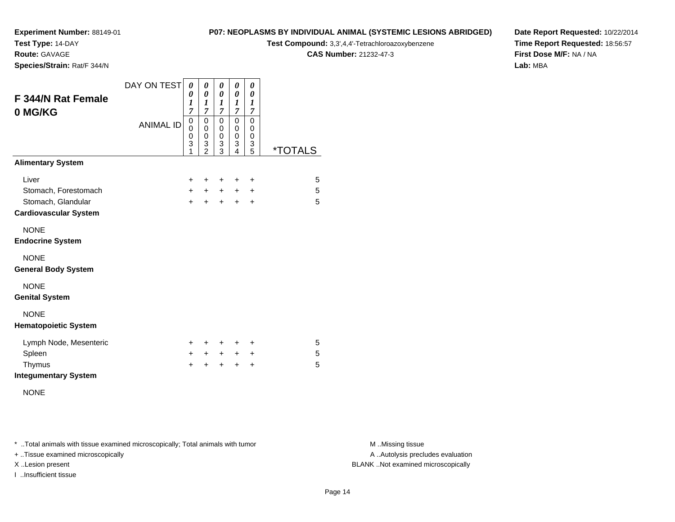**Test Type:** 14-DAY

**Route:** GAVAGE

**Species/Strain:** Rat/F 344/N

#### **P07: NEOPLASMS BY INDIVIDUAL ANIMAL (SYSTEMIC LESIONS ABRIDGED)**

**Test Compound:** 3,3',4,4'-Tetrachloroazoxybenzene

**CAS Number:** 21232-47-3

**Date Report Requested:** 10/22/2014**Time Report Requested:** 18:56:57**First Dose M/F:** NA / NA**Lab:** MBA

| <b>F 344/N Rat Female</b><br>0 MG/KG               | DAY ON TEST      | 0<br>0<br>1<br>7                 | 0<br>0<br>1<br>7                             | 0<br>0<br>1<br>$\overline{\mathcal{I}}$ | 0<br>0<br>1<br>$\overline{7}$ | 0<br>0<br>$\boldsymbol{l}$<br>$\overline{7}$ |         |
|----------------------------------------------------|------------------|----------------------------------|----------------------------------------------|-----------------------------------------|-------------------------------|----------------------------------------------|---------|
|                                                    | <b>ANIMAL ID</b> | 0<br>$\mathbf{0}$<br>0<br>3<br>1 | 0<br>$\mathbf 0$<br>0<br>3<br>$\mathfrak{p}$ | 0<br>$\mathbf 0$<br>0<br>3<br>3         | 0<br>0<br>0<br>3<br>4         | $\mathbf 0$<br>$\Omega$<br>0<br>3<br>5       | *TOTALS |
| <b>Alimentary System</b>                           |                  |                                  |                                              |                                         |                               |                                              |         |
| Liver                                              |                  | $\ddot{}$                        | ٠                                            | ÷                                       | ÷                             | $\ddot{}$                                    | 5       |
| Stomach, Forestomach                               |                  | $+$                              | $\pm$                                        | $+$                                     | $\pm$                         | $\pm$                                        | 5       |
| Stomach, Glandular<br><b>Cardiovascular System</b> |                  | $\ddot{}$                        | $\ddot{}$                                    | $+$                                     | $\ddot{}$                     | $\ddot{}$                                    | 5       |
| <b>NONE</b><br><b>Endocrine System</b>             |                  |                                  |                                              |                                         |                               |                                              |         |
| <b>NONE</b><br><b>General Body System</b>          |                  |                                  |                                              |                                         |                               |                                              |         |
| <b>NONE</b><br><b>Genital System</b>               |                  |                                  |                                              |                                         |                               |                                              |         |
| <b>NONE</b><br><b>Hematopoietic System</b>         |                  |                                  |                                              |                                         |                               |                                              |         |
| Lymph Node, Mesenteric                             |                  | $\pm$                            | ٠                                            | ÷                                       | ÷                             | $\pm$                                        | 5       |
| Spleen                                             |                  | +                                | $+$ $-$                                      | $+$ $-$                                 | $+$                           | $\ddot{}$                                    | 5       |
| Thymus                                             |                  | +                                |                                              | $\ddot{}$                               | $\ddot{}$                     | $\ddot{}$                                    | 5       |
| <b>Integumentary System</b>                        |                  |                                  |                                              |                                         |                               |                                              |         |

NONE

\* ..Total animals with tissue examined microscopically; Total animals with tumor **M** . Missing tissue M ..Missing tissue

+ ..Tissue examined microscopically

I ..Insufficient tissue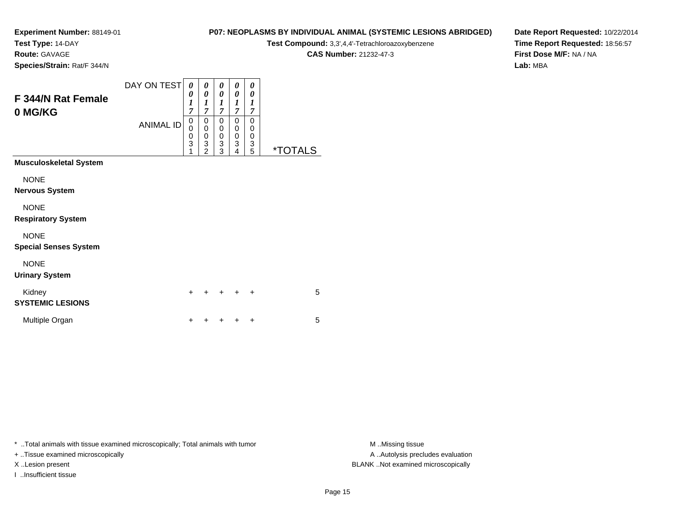**Test Type:** 14-DAY

**Route:** GAVAGE

**Species/Strain:** Rat/F 344/N

# **P07: NEOPLASMS BY INDIVIDUAL ANIMAL (SYSTEMIC LESIONS ABRIDGED)**

**Test Compound:** 3,3',4,4'-Tetrachloroazoxybenzene

**CAS Number:** 21232-47-3

**Date Report Requested:** 10/22/2014**Time Report Requested:** 18:56:57**First Dose M/F:** NA / NA**Lab:** MBA

| F 344/N Rat Female<br>0 MG/KG     | DAY ON TEST<br><b>ANIMAL ID</b> | 0<br>0<br>1<br>$\overline{7}$<br>0<br>$\overline{0}$<br>0<br>3<br>1 | 0<br>0<br>$\boldsymbol{l}$<br>7<br>0<br>$\mathbf 0$<br>$\mathbf 0$<br>3<br>$\overline{2}$ | 0<br>0<br>$\boldsymbol{l}$<br>7<br>0<br>$\boldsymbol{0}$<br>$\pmb{0}$<br>$\ensuremath{\mathsf{3}}$<br>3 | 0<br>0<br>1<br>7<br>0<br>0<br>0<br>3<br>4 | 0<br>0<br>$\boldsymbol{l}$<br>7<br>0<br>0<br>0<br>$\frac{3}{5}$ | <i><b>*TOTALS</b></i> |
|-----------------------------------|---------------------------------|---------------------------------------------------------------------|-------------------------------------------------------------------------------------------|---------------------------------------------------------------------------------------------------------|-------------------------------------------|-----------------------------------------------------------------|-----------------------|
| <b>Musculoskeletal System</b>     |                                 |                                                                     |                                                                                           |                                                                                                         |                                           |                                                                 |                       |
| <b>NONE</b>                       |                                 |                                                                     |                                                                                           |                                                                                                         |                                           |                                                                 |                       |
| <b>Nervous System</b>             |                                 |                                                                     |                                                                                           |                                                                                                         |                                           |                                                                 |                       |
| <b>NONE</b>                       |                                 |                                                                     |                                                                                           |                                                                                                         |                                           |                                                                 |                       |
| <b>Respiratory System</b>         |                                 |                                                                     |                                                                                           |                                                                                                         |                                           |                                                                 |                       |
| <b>NONE</b>                       |                                 |                                                                     |                                                                                           |                                                                                                         |                                           |                                                                 |                       |
| <b>Special Senses System</b>      |                                 |                                                                     |                                                                                           |                                                                                                         |                                           |                                                                 |                       |
| <b>NONE</b>                       |                                 |                                                                     |                                                                                           |                                                                                                         |                                           |                                                                 |                       |
| <b>Urinary System</b>             |                                 |                                                                     |                                                                                           |                                                                                                         |                                           |                                                                 |                       |
| Kidney<br><b>SYSTEMIC LESIONS</b> |                                 | ÷                                                                   |                                                                                           |                                                                                                         |                                           | $\div$                                                          | 5                     |
| Multiple Organ                    |                                 | +                                                                   |                                                                                           |                                                                                                         |                                           | ٠                                                               | 5                     |

\* ..Total animals with tissue examined microscopically; Total animals with tumor **M** . Missing tissue M ..Missing tissue

+ ..Tissue examined microscopically

I ..Insufficient tissue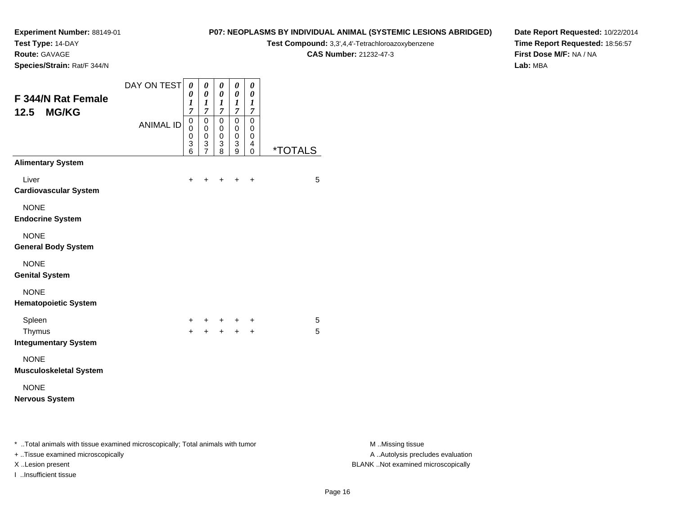**Test Type:** 14-DAY

**Route:** GAVAGE

**Species/Strain:** Rat/F 344/N

#### **P07: NEOPLASMS BY INDIVIDUAL ANIMAL (SYSTEMIC LESIONS ABRIDGED)**

**Test Compound:** 3,3',4,4'-Tetrachloroazoxybenzene

**CAS Number:** 21232-47-3

**Date Report Requested:** 10/22/2014**Time Report Requested:** 18:56:57**First Dose M/F:** NA / NA**Lab:** MBA

| <b>F 344/N Rat Female</b><br><b>MG/KG</b><br>12.5                              | DAY ON TEST      | 0<br>0<br>1<br>$\overline{7}$             | 0<br>$\boldsymbol{\theta}$<br>$\boldsymbol{l}$<br>$\overline{7}$ | 0<br>$\boldsymbol{\theta}$<br>$\boldsymbol{l}$<br>$\overline{7}$ | 0<br>$\boldsymbol{\theta}$<br>$\boldsymbol{l}$<br>$\boldsymbol{7}$ | 0<br>0<br>1<br>$\overline{7}$ |                       |
|--------------------------------------------------------------------------------|------------------|-------------------------------------------|------------------------------------------------------------------|------------------------------------------------------------------|--------------------------------------------------------------------|-------------------------------|-----------------------|
|                                                                                | <b>ANIMAL ID</b> | $\mathbf 0$<br>$\mathbf 0$<br>0<br>3<br>6 | $\mathbf 0$<br>0<br>$\mathbf 0$<br>3<br>$\overline{7}$           | $\mathbf 0$<br>0<br>0<br>3<br>8                                  | $\mathbf 0$<br>0<br>$\pmb{0}$<br>3<br>9                            | $\Omega$<br>0<br>0<br>4<br>0  | <i><b>*TOTALS</b></i> |
| <b>Alimentary System</b>                                                       |                  |                                           |                                                                  |                                                                  |                                                                    |                               |                       |
| Liver<br><b>Cardiovascular System</b>                                          |                  | +                                         | +                                                                | $\ddot{}$                                                        | $\ddot{}$                                                          | $\ddot{}$                     | 5                     |
| <b>NONE</b><br><b>Endocrine System</b>                                         |                  |                                           |                                                                  |                                                                  |                                                                    |                               |                       |
| <b>NONE</b><br><b>General Body System</b>                                      |                  |                                           |                                                                  |                                                                  |                                                                    |                               |                       |
| <b>NONE</b><br><b>Genital System</b>                                           |                  |                                           |                                                                  |                                                                  |                                                                    |                               |                       |
| <b>NONE</b><br><b>Hematopoietic System</b>                                     |                  |                                           |                                                                  |                                                                  |                                                                    |                               |                       |
| Spleen<br>Thymus<br><b>Integumentary System</b>                                |                  | +<br>$\ddot{}$                            | +<br>$\ddot{}$                                                   | $+$<br>$+$                                                       | $\ddot{}$<br>$+$                                                   | +<br>$\ddot{}$                | 5<br>5                |
| <b>NONE</b><br><b>Musculoskeletal System</b>                                   |                  |                                           |                                                                  |                                                                  |                                                                    |                               |                       |
| <b>NONE</b><br><b>Nervous System</b>                                           |                  |                                           |                                                                  |                                                                  |                                                                    |                               |                       |
| * Total animals with tissue examined microscopically; Total animals with tumor |                  |                                           |                                                                  |                                                                  |                                                                    |                               |                       |

+ ..Tissue examined microscopically

I ..Insufficient tissue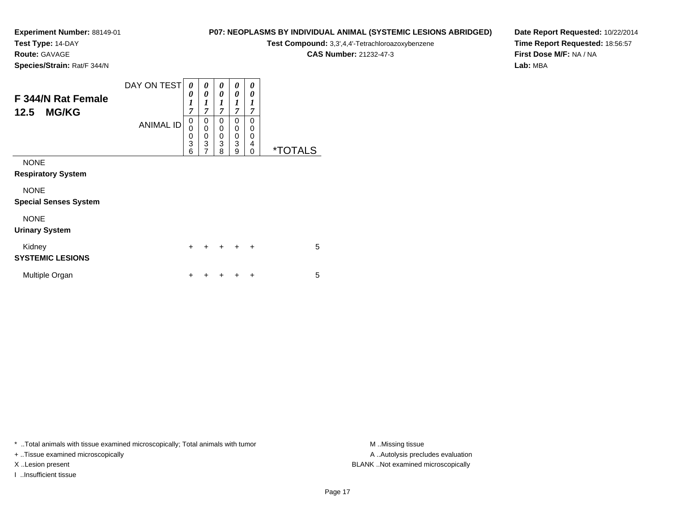**Test Type:** 14-DAY

**Route:** GAVAGE

**P07: NEOPLASMS BY INDIVIDUAL ANIMAL (SYSTEMIC LESIONS ABRIDGED)**

**Test Compound:** 3,3',4,4'-Tetrachloroazoxybenzene

**CAS Number:** 21232-47-3

**Date Report Requested:** 10/22/2014**Time Report Requested:** 18:56:57**First Dose M/F:** NA / NA**Lab:** MBA

**Species/Strain:** Rat/F 344/N

| F 344/N Rat Female<br><b>MG/KG</b><br>12.5 | DAY ON TEST      | 0<br>0<br>1<br>7             | 0<br>$\theta$<br>1<br>$\overline{7}$         | 0<br>0<br>1<br>$\overline{7}$ | 0<br>0<br>$\boldsymbol{l}$<br>7 | 0<br>0<br>1<br>7             |                       |
|--------------------------------------------|------------------|------------------------------|----------------------------------------------|-------------------------------|---------------------------------|------------------------------|-----------------------|
|                                            | <b>ANIMAL ID</b> | 0<br>0<br>$\frac{0}{3}$<br>6 | 0<br>$\mathbf 0$<br>$_3^0$<br>$\overline{7}$ | 0<br>0<br>$\frac{0}{3}$<br>8  | 0<br>0<br>0<br>3<br>9           | 0<br>0<br>$\Omega$<br>4<br>0 | <i><b>*TOTALS</b></i> |
| <b>NONE</b>                                |                  |                              |                                              |                               |                                 |                              |                       |
| <b>Respiratory System</b>                  |                  |                              |                                              |                               |                                 |                              |                       |
| <b>NONE</b>                                |                  |                              |                                              |                               |                                 |                              |                       |
| <b>Special Senses System</b>               |                  |                              |                                              |                               |                                 |                              |                       |
| <b>NONE</b>                                |                  |                              |                                              |                               |                                 |                              |                       |
| <b>Urinary System</b>                      |                  |                              |                                              |                               |                                 |                              |                       |
| Kidney                                     |                  | $\ddot{}$                    |                                              | $\ddot{}$                     | ÷                               | $\ddot{}$                    | 5                     |
| <b>SYSTEMIC LESIONS</b>                    |                  |                              |                                              |                               |                                 |                              |                       |
| Multiple Organ                             |                  | ٠                            |                                              |                               | ٠                               | ÷                            | 5                     |

\* ..Total animals with tissue examined microscopically; Total animals with tumor **M** . Missing tissue M ..Missing tissue

+ ..Tissue examined microscopically

I ..Insufficient tissue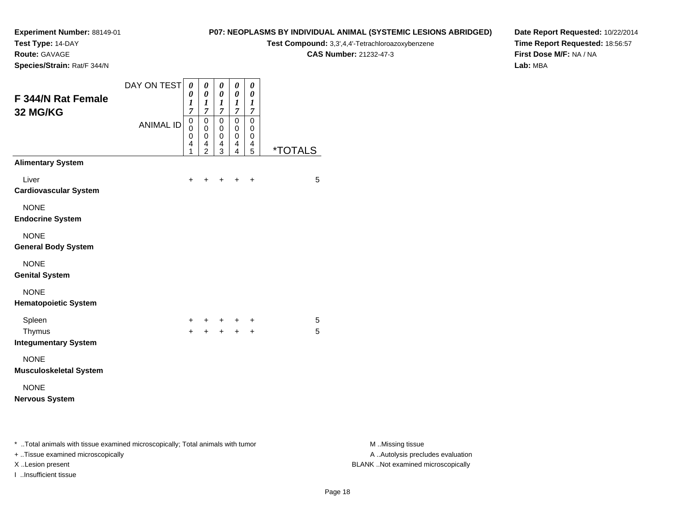**Test Type:** 14-DAY

**Route:** GAVAGE

**Species/Strain:** Rat/F 344/N

# **P07: NEOPLASMS BY INDIVIDUAL ANIMAL (SYSTEMIC LESIONS ABRIDGED)**

**Test Compound:** 3,3',4,4'-Tetrachloroazoxybenzene

**CAS Number:** 21232-47-3

**Date Report Requested:** 10/22/2014**Time Report Requested:** 18:56:57**First Dose M/F:** NA / NA**Lab:** MBA

| <b>F 344/N Rat Female</b><br>32 MG/KG                                          | DAY ON TEST      | 0<br>0<br>1<br>$\overline{7}$             | 0<br>0<br>$\boldsymbol{l}$<br>$\overline{7}$ | $\pmb{\theta}$<br>$\boldsymbol{\theta}$<br>$\boldsymbol{l}$<br>$\overline{7}$ | 0<br>$\boldsymbol{\theta}$<br>$\boldsymbol{l}$<br>$\overline{7}$ | 0<br>0<br>1<br>7                          |                       |
|--------------------------------------------------------------------------------|------------------|-------------------------------------------|----------------------------------------------|-------------------------------------------------------------------------------|------------------------------------------------------------------|-------------------------------------------|-----------------------|
|                                                                                | <b>ANIMAL ID</b> | $\mathbf 0$<br>0<br>$\mathbf 0$<br>4<br>1 | 0<br>0<br>0<br>4<br>$\overline{2}$           | $\mathbf 0$<br>$\mathbf 0$<br>$\mathbf 0$<br>$\overline{4}$<br>3              | $\mathbf 0$<br>$\mathbf 0$<br>$\mathbf 0$<br>4<br>4              | $\mathbf 0$<br>0<br>$\mathbf 0$<br>4<br>5 | <i><b>*TOTALS</b></i> |
| <b>Alimentary System</b>                                                       |                  |                                           |                                              |                                                                               |                                                                  |                                           |                       |
| Liver<br><b>Cardiovascular System</b>                                          |                  | $\ddot{}$                                 | +                                            | +                                                                             | $\ddot{}$                                                        | $\ddot{}$                                 | 5                     |
| <b>NONE</b><br><b>Endocrine System</b>                                         |                  |                                           |                                              |                                                                               |                                                                  |                                           |                       |
| <b>NONE</b><br><b>General Body System</b>                                      |                  |                                           |                                              |                                                                               |                                                                  |                                           |                       |
| <b>NONE</b><br><b>Genital System</b>                                           |                  |                                           |                                              |                                                                               |                                                                  |                                           |                       |
| <b>NONE</b><br><b>Hematopoietic System</b>                                     |                  |                                           |                                              |                                                                               |                                                                  |                                           |                       |
| Spleen                                                                         |                  | +                                         | +                                            | $\ddot{}$                                                                     | $\ddot{}$                                                        | +                                         | 5                     |
| Thymus<br><b>Integumentary System</b>                                          |                  | $+$                                       | $\ddot{}$                                    | $+$                                                                           | $\ddot{}$                                                        | $\ddot{}$                                 | 5                     |
| <b>NONE</b><br><b>Musculoskeletal System</b>                                   |                  |                                           |                                              |                                                                               |                                                                  |                                           |                       |
| <b>NONE</b><br><b>Nervous System</b>                                           |                  |                                           |                                              |                                                                               |                                                                  |                                           |                       |
| * Total animals with tissue examined microscopically; Total animals with tumor |                  |                                           |                                              |                                                                               |                                                                  |                                           |                       |

+ ..Tissue examined microscopically

I ..Insufficient tissue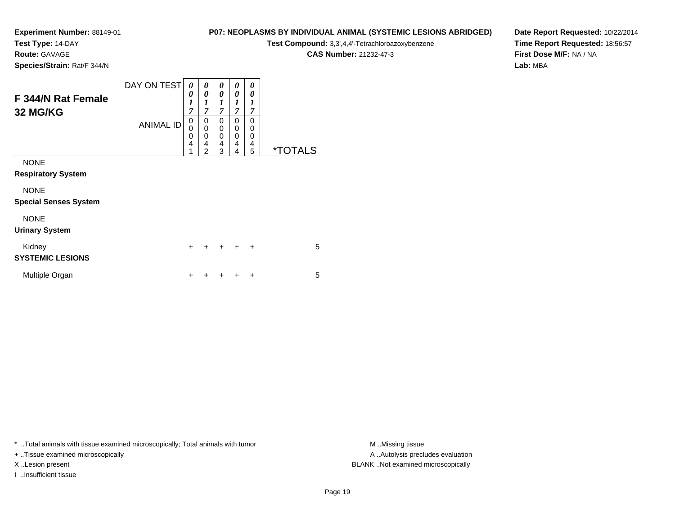**Test Type:** 14-DAY

**Route:** GAVAGE

**P07: NEOPLASMS BY INDIVIDUAL ANIMAL (SYSTEMIC LESIONS ABRIDGED)**

**Test Compound:** 3,3',4,4'-Tetrachloroazoxybenzene

**CAS Number:** 21232-47-3

**Date Report Requested:** 10/22/2014**Time Report Requested:** 18:56:57**First Dose M/F:** NA / NA**Lab:** MBA

**Species/Strain:** Rat/F 344/N

| F 344/N Rat Female<br>32 MG/KG              | DAY ON TEST<br><b>ANIMAL ID</b> | 0<br>0<br>$\boldsymbol{l}$<br>$\overline{7}$<br>0<br>0<br>0 | 0<br>0<br>$\boldsymbol{l}$<br>$\overline{7}$<br>0<br>0<br>0 | 0<br>0<br>1<br>$\overline{7}$<br>0<br>0<br>$\Omega$ | 0<br>0<br>$\boldsymbol{l}$<br>$\overline{7}$<br>0<br>0<br>0 | 0<br>$\theta$<br>1<br>7<br>0<br>$\mathbf 0$<br>$\mathbf 0$ |                       |
|---------------------------------------------|---------------------------------|-------------------------------------------------------------|-------------------------------------------------------------|-----------------------------------------------------|-------------------------------------------------------------|------------------------------------------------------------|-----------------------|
|                                             |                                 | 4<br>1                                                      | 4<br>$\overline{2}$                                         | $\overline{4}$<br>3                                 | 4<br>4                                                      | 4<br>5                                                     | <i><b>*TOTALS</b></i> |
| <b>NONE</b><br><b>Respiratory System</b>    |                                 |                                                             |                                                             |                                                     |                                                             |                                                            |                       |
| <b>NONE</b><br><b>Special Senses System</b> |                                 |                                                             |                                                             |                                                     |                                                             |                                                            |                       |
| <b>NONE</b><br><b>Urinary System</b>        |                                 |                                                             |                                                             |                                                     |                                                             |                                                            |                       |
| Kidney<br><b>SYSTEMIC LESIONS</b>           |                                 | $\ddot{}$                                                   | +                                                           |                                                     | $\div$                                                      | $\ddot{}$                                                  | 5                     |
| Multiple Organ                              |                                 | ÷                                                           |                                                             |                                                     |                                                             | ٠                                                          | 5                     |

\* ..Total animals with tissue examined microscopically; Total animals with tumor **M** . Missing tissue M ..Missing tissue

+ ..Tissue examined microscopically

I ..Insufficient tissue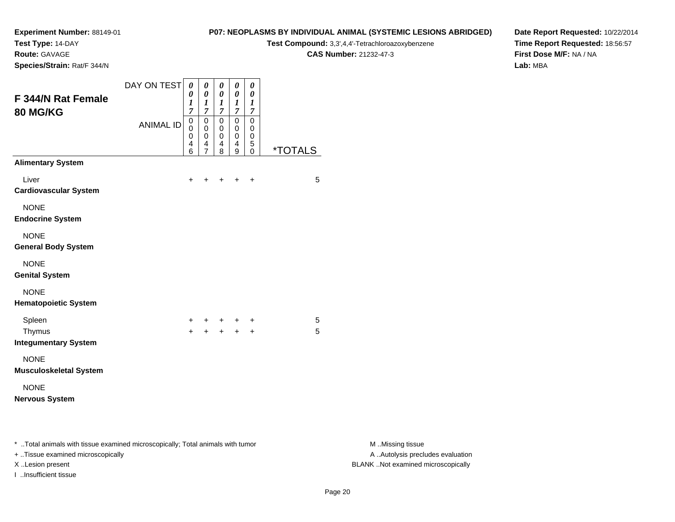**Test Type:** 14-DAY

**Route:** GAVAGE

**Species/Strain:** Rat/F 344/N

# **P07: NEOPLASMS BY INDIVIDUAL ANIMAL (SYSTEMIC LESIONS ABRIDGED)**

**Test Compound:** 3,3',4,4'-Tetrachloroazoxybenzene

**CAS Number:** 21232-47-3

**Date Report Requested:** 10/22/2014**Time Report Requested:** 18:56:57**First Dose M/F:** NA / NA**Lab:** MBA

| <b>F 344/N Rat Female</b><br>80 MG/KG                                          | DAY ON TEST      | 0<br>0<br>1<br>$\overline{7}$ | $\pmb{\theta}$<br>0<br>$\boldsymbol{l}$<br>$\overline{7}$ | $\boldsymbol{\theta}$<br>$\boldsymbol{\theta}$<br>$\boldsymbol{l}$<br>$\overline{7}$ | 0<br>0<br>$\boldsymbol{l}$<br>7 | 0<br>$\boldsymbol{\theta}$<br>1<br>$\overline{7}$ |                       |
|--------------------------------------------------------------------------------|------------------|-------------------------------|-----------------------------------------------------------|--------------------------------------------------------------------------------------|---------------------------------|---------------------------------------------------|-----------------------|
|                                                                                | <b>ANIMAL ID</b> | 0<br>0<br>0<br>4<br>6         | 0<br>0<br>0<br>4<br>$\overline{7}$                        | $\mathbf 0$<br>0<br>0<br>$\overline{4}$<br>8                                         | 0<br>0<br>0<br>4<br>9           | $\mathbf 0$<br>0<br>0<br>5<br>$\mathbf 0$         | <i><b>*TOTALS</b></i> |
| <b>Alimentary System</b>                                                       |                  |                               |                                                           |                                                                                      |                                 |                                                   |                       |
| Liver<br><b>Cardiovascular System</b>                                          |                  | $\ddot{}$                     |                                                           | +                                                                                    | $\div$                          | $\ddot{}$                                         | 5                     |
| <b>NONE</b><br><b>Endocrine System</b>                                         |                  |                               |                                                           |                                                                                      |                                 |                                                   |                       |
| <b>NONE</b><br><b>General Body System</b>                                      |                  |                               |                                                           |                                                                                      |                                 |                                                   |                       |
| <b>NONE</b><br><b>Genital System</b>                                           |                  |                               |                                                           |                                                                                      |                                 |                                                   |                       |
| <b>NONE</b><br><b>Hematopoietic System</b>                                     |                  |                               |                                                           |                                                                                      |                                 |                                                   |                       |
| Spleen                                                                         |                  | $+$                           | $\pm$                                                     |                                                                                      | $+$ $+$                         | +                                                 | 5                     |
| Thymus<br><b>Integumentary System</b>                                          |                  | $+$                           | $+$                                                       |                                                                                      | $+ +$                           | $\ddot{}$                                         | 5                     |
| <b>NONE</b><br><b>Musculoskeletal System</b>                                   |                  |                               |                                                           |                                                                                      |                                 |                                                   |                       |
| <b>NONE</b><br><b>Nervous System</b>                                           |                  |                               |                                                           |                                                                                      |                                 |                                                   |                       |
|                                                                                |                  |                               |                                                           |                                                                                      |                                 |                                                   |                       |
| * Total animals with tissue examined microscopically; Total animals with tumor |                  |                               |                                                           |                                                                                      |                                 |                                                   |                       |

+ ..Tissue examined microscopically

I ..Insufficient tissue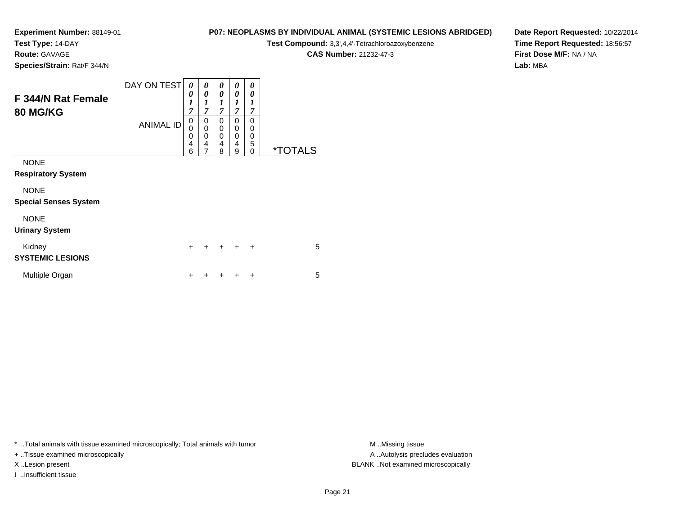**Test Type:** 14-DAY

**Route:** GAVAGE

**P07: NEOPLASMS BY INDIVIDUAL ANIMAL (SYSTEMIC LESIONS ABRIDGED)**

**Test Compound:** 3,3',4,4'-Tetrachloroazoxybenzene

**CAS Number:** 21232-47-3

**Date Report Requested:** 10/22/2014**Time Report Requested:** 18:56:57**First Dose M/F:** NA / NA**Lab:** MBA

**Species/Strain:** Rat/F 344/N

| F 344/N Rat Female<br>80 MG/KG    | DAY ON TEST      | 0<br>0<br>$\boldsymbol{l}$<br>$\overline{7}$ | 0<br>$\boldsymbol{\theta}$<br>1<br>$\overline{7}$ | 0<br>0<br>1<br>$\overline{7}$          | 0<br>0<br>1<br>$\overline{7}$ | 0<br>0<br>1<br>$\overline{7}$                 |                       |
|-----------------------------------|------------------|----------------------------------------------|---------------------------------------------------|----------------------------------------|-------------------------------|-----------------------------------------------|-----------------------|
|                                   | <b>ANIMAL ID</b> | 0<br>0<br>0<br>4<br>6                        | 0<br>$\mathbf 0$<br>0<br>4<br>$\overline{7}$      | 0<br>$\mathbf 0$<br>$\Omega$<br>4<br>8 | 0<br>0<br>0<br>4<br>9         | 0<br>$\Omega$<br>$\mathbf 0$<br>5<br>$\Omega$ | <i><b>*TOTALS</b></i> |
| <b>NONE</b>                       |                  |                                              |                                                   |                                        |                               |                                               |                       |
| <b>Respiratory System</b>         |                  |                                              |                                                   |                                        |                               |                                               |                       |
| <b>NONE</b>                       |                  |                                              |                                                   |                                        |                               |                                               |                       |
| <b>Special Senses System</b>      |                  |                                              |                                                   |                                        |                               |                                               |                       |
| <b>NONE</b>                       |                  |                                              |                                                   |                                        |                               |                                               |                       |
| <b>Urinary System</b>             |                  |                                              |                                                   |                                        |                               |                                               |                       |
| Kidney<br><b>SYSTEMIC LESIONS</b> |                  | $\ddot{}$                                    | +                                                 | +                                      | $\div$                        | $\ddot{}$                                     | 5                     |
| Multiple Organ                    |                  | ÷                                            | ٠                                                 |                                        |                               | ÷                                             | 5                     |

\* ..Total animals with tissue examined microscopically; Total animals with tumor **M** . Missing tissue M ..Missing tissue

+ ..Tissue examined microscopically

I ..Insufficient tissue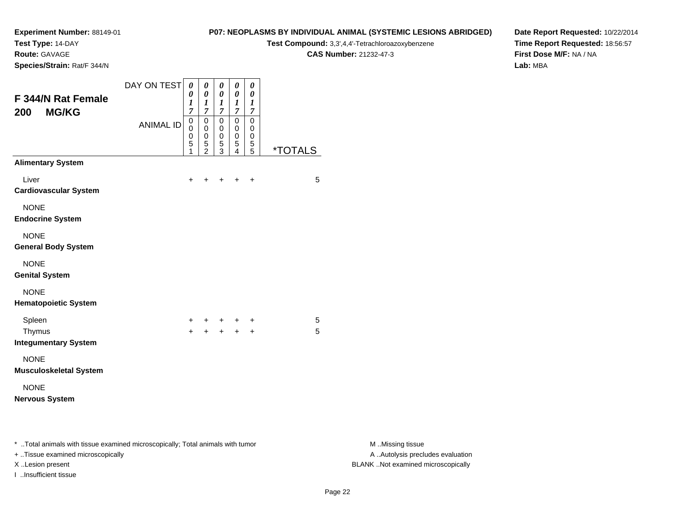**Test Type:** 14-DAY

**Route:** GAVAGE

I ..Insufficient tissue

**Species/Strain:** Rat/F 344/N

# **P07: NEOPLASMS BY INDIVIDUAL ANIMAL (SYSTEMIC LESIONS ABRIDGED)**

**Test Compound:** 3,3',4,4'-Tetrachloroazoxybenzene

**CAS Number:** 21232-47-3

**Date Report Requested:** 10/22/2014**Time Report Requested:** 18:56:57**First Dose M/F:** NA / NA**Lab:** MBA

| <b>F344/N Rat Female</b><br><b>MG/KG</b><br>200                                                                     | DAY ON TEST      | 0<br>0<br>1<br>$\overline{7}$ | 0<br>$\pmb{\theta}$<br>$\boldsymbol{l}$<br>$\boldsymbol{7}$ | 0<br>$\boldsymbol{\theta}$<br>$\boldsymbol{l}$<br>$\boldsymbol{7}$ | 0<br>0<br>$\boldsymbol{l}$<br>7 | 0<br>0<br>1<br>7                          |                       |
|---------------------------------------------------------------------------------------------------------------------|------------------|-------------------------------|-------------------------------------------------------------|--------------------------------------------------------------------|---------------------------------|-------------------------------------------|-----------------------|
|                                                                                                                     | <b>ANIMAL ID</b> | 0<br>0<br>0<br>5<br>1         | 0<br>0<br>0<br>5<br>$\overline{2}$                          | 0<br>0<br>0<br>5<br>3                                              | $\mathbf 0$<br>0<br>0<br>5<br>4 | 0<br>0<br>$\mathbf 0$<br>$\mathbf 5$<br>5 | <i><b>*TOTALS</b></i> |
| <b>Alimentary System</b>                                                                                            |                  |                               |                                                             |                                                                    |                                 |                                           |                       |
| Liver<br><b>Cardiovascular System</b>                                                                               |                  | +                             |                                                             |                                                                    |                                 | +                                         | 5                     |
| <b>NONE</b><br><b>Endocrine System</b>                                                                              |                  |                               |                                                             |                                                                    |                                 |                                           |                       |
| <b>NONE</b><br><b>General Body System</b>                                                                           |                  |                               |                                                             |                                                                    |                                 |                                           |                       |
| <b>NONE</b><br><b>Genital System</b>                                                                                |                  |                               |                                                             |                                                                    |                                 |                                           |                       |
| <b>NONE</b><br><b>Hematopoietic System</b>                                                                          |                  |                               |                                                             |                                                                    |                                 |                                           |                       |
| Spleen                                                                                                              |                  | $\pm$                         | ٠                                                           | ÷                                                                  |                                 | +                                         | 5                     |
| Thymus<br><b>Integumentary System</b>                                                                               |                  | $+$                           | $\ddot{}$                                                   | $+$                                                                | $+$                             | $\ddot{}$                                 | 5                     |
| <b>NONE</b><br><b>Musculoskeletal System</b>                                                                        |                  |                               |                                                             |                                                                    |                                 |                                           |                       |
| <b>NONE</b><br><b>Nervous System</b>                                                                                |                  |                               |                                                             |                                                                    |                                 |                                           |                       |
| * Total animals with tissue examined microscopically; Total animals with tumor<br>+ Tissue examined microscopically |                  |                               |                                                             |                                                                    |                                 |                                           |                       |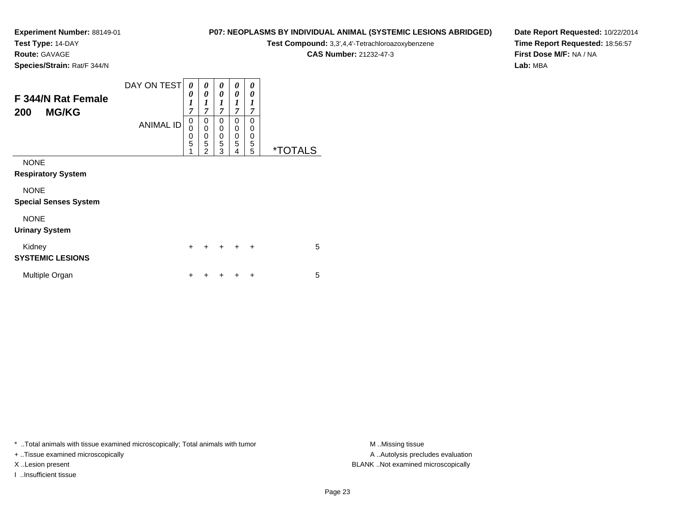**Test Type:** 14-DAY

**Route:** GAVAGE

**Species/Strain:** Rat/F 344/N

# **P07: NEOPLASMS BY INDIVIDUAL ANIMAL (SYSTEMIC LESIONS ABRIDGED)**

**Test Compound:** 3,3',4,4'-Tetrachloroazoxybenzene

**CAS Number:** 21232-47-3

**Date Report Requested:** 10/22/2014**Time Report Requested:** 18:56:57**First Dose M/F:** NA / NA**Lab:** MBA

| F 344/N Rat Female<br><b>MG/KG</b><br>200   | DAY ON TEST<br><b>ANIMAL ID</b> | 0<br>0<br>$\boldsymbol{l}$<br>$\overline{7}$<br>0<br>0<br>$\frac{0}{5}$<br>1 | 0<br>0<br>1<br>$\overline{7}$<br>0<br>$\mathbf 0$<br>$\mathbf 0$<br>5<br>$\overline{2}$ | 0<br>0<br>$\boldsymbol{l}$<br>$\overline{7}$<br>0<br>0<br>0<br>5<br>3 | 0<br>0<br>$\boldsymbol{l}$<br>$\overline{7}$<br>$\Omega$<br>0<br>0<br>5<br>4 | 0<br>0<br>1<br>7<br>$\Omega$<br>0<br>0<br>5<br>5 | <i><b>*TOTALS</b></i> |
|---------------------------------------------|---------------------------------|------------------------------------------------------------------------------|-----------------------------------------------------------------------------------------|-----------------------------------------------------------------------|------------------------------------------------------------------------------|--------------------------------------------------|-----------------------|
| <b>NONE</b><br><b>Respiratory System</b>    |                                 |                                                                              |                                                                                         |                                                                       |                                                                              |                                                  |                       |
| <b>NONE</b><br><b>Special Senses System</b> |                                 |                                                                              |                                                                                         |                                                                       |                                                                              |                                                  |                       |
| <b>NONE</b><br><b>Urinary System</b>        |                                 |                                                                              |                                                                                         |                                                                       |                                                                              |                                                  |                       |
| Kidney<br><b>SYSTEMIC LESIONS</b>           |                                 | $\ddot{}$                                                                    | +                                                                                       | $\ddot{}$                                                             | $\div$                                                                       | $\ddot{}$                                        | 5                     |
| Multiple Organ                              |                                 | ٠                                                                            |                                                                                         |                                                                       |                                                                              | ÷                                                | 5                     |

\* ..Total animals with tissue examined microscopically; Total animals with tumor **M** . Missing tissue M ..Missing tissue

+ ..Tissue examined microscopically

I ..Insufficient tissue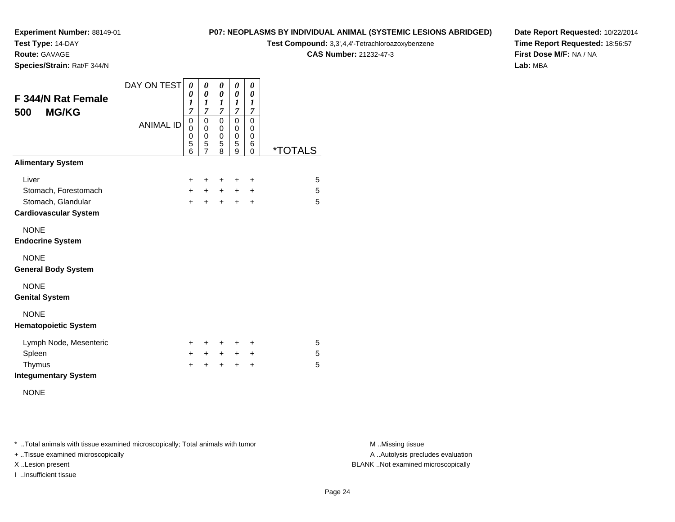**Test Type:** 14-DAY

**Route:** GAVAGE

**Species/Strain:** Rat/F 344/N

#### **P07: NEOPLASMS BY INDIVIDUAL ANIMAL (SYSTEMIC LESIONS ABRIDGED)**

**Test Compound:** 3,3',4,4'-Tetrachloroazoxybenzene

**CAS Number:** 21232-47-3

**Date Report Requested:** 10/22/2014**Time Report Requested:** 18:56:57**First Dose M/F:** NA / NA**Lab:** MBA

| F 344/N Rat Female<br><b>MG/KG</b><br>500          | DAY ON TEST      | 0<br>0<br>1<br>$\overline{7}$ | 0<br>0<br>1<br>$\overline{7}$                | 0<br>0<br>1<br>$\overline{7}$   | 0<br>0<br>1<br>$\overline{7}$             | 0<br>0<br>1<br>$\overline{7}$             |                       |
|----------------------------------------------------|------------------|-------------------------------|----------------------------------------------|---------------------------------|-------------------------------------------|-------------------------------------------|-----------------------|
|                                                    | <b>ANIMAL ID</b> | 0<br>0<br>0<br>5<br>6         | $\mathbf 0$<br>0<br>0<br>5<br>$\overline{7}$ | 0<br>0<br>$\mathbf 0$<br>5<br>8 | $\mathbf 0$<br>0<br>$\mathbf 0$<br>5<br>9 | $\mathbf 0$<br>0<br>$\mathbf 0$<br>6<br>0 | <i><b>*TOTALS</b></i> |
| <b>Alimentary System</b>                           |                  |                               |                                              |                                 |                                           |                                           |                       |
| Liver                                              |                  | $\pm$                         | ÷                                            | +                               | ÷                                         | +                                         | 5                     |
| Stomach, Forestomach                               |                  | $+$                           | $\ddot{}$                                    | $\ddot{}$                       | $\ddot{}$                                 | +                                         | 5                     |
| Stomach, Glandular<br><b>Cardiovascular System</b> |                  | $\ddot{}$                     | $\ddot{}$                                    | $\ddot{}$                       | $\ddot{}$                                 | +                                         | 5                     |
| <b>NONE</b><br><b>Endocrine System</b>             |                  |                               |                                              |                                 |                                           |                                           |                       |
| <b>NONE</b><br><b>General Body System</b>          |                  |                               |                                              |                                 |                                           |                                           |                       |
| <b>NONE</b><br><b>Genital System</b>               |                  |                               |                                              |                                 |                                           |                                           |                       |
| <b>NONE</b><br><b>Hematopoietic System</b>         |                  |                               |                                              |                                 |                                           |                                           |                       |
| Lymph Node, Mesenteric                             |                  | ٠                             | ÷                                            | +                               | +                                         | ٠                                         | 5                     |
| Spleen                                             |                  | $\pm$                         | $\pm$                                        | $+$                             | $\ddot{}$                                 | $\ddot{}$                                 | 5                     |
| Thymus<br><b>Integumentary System</b>              |                  | +                             |                                              | +                               | $\pm$                                     | +                                         | 5                     |

NONE

\* ..Total animals with tissue examined microscopically; Total animals with tumor **M** . Missing tissue M ..Missing tissue

+ ..Tissue examined microscopically

I ..Insufficient tissue